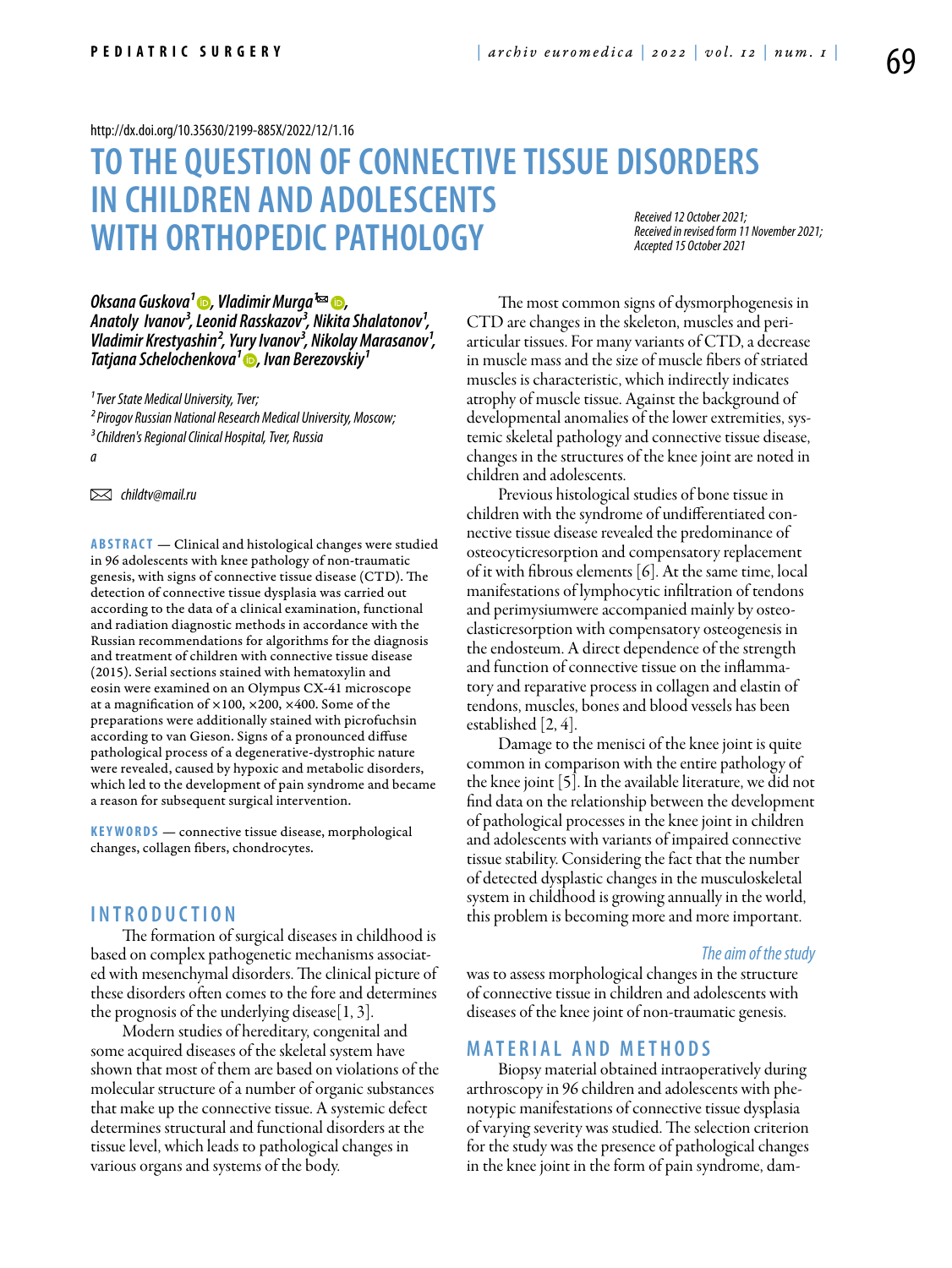#### <http://dx.doi.org/10.35630/2199-885X/2022/12/1.16>

# **To the question of connective tissue disorders in children and adolescents with orthopedic pathology** *Received 12 October 2021; Accepted 15 October 2021*

*Received in revised form 11 November 2021;* 

*Oksana Guskova<sup>1</sup> ●, Vladimir Murga* <sup>*<del>⊠</del></sup> ●,</sup>* Anatoly *Ivanov<sup>3</sup>*, Leonid Rasskazov<sup>3</sup>, Nikita Shalatonov<sup>1</sup>, Vladimir Krestyashin<sup>2</sup>, Yury Ivanov<sup>3</sup>, Nikolay Marasanov<sup>1</sup>, *Tatjana Schelochenkova<sup>1</sup> •, Ivan Berezovskiy<sup>1</sup>* 

*¹ Tver State Medical University, Tver;*

*² Pirogov Russian National Research Medical University, Moscow;*

*a*

 *childtv@mail.ru* 

**ABSTRACT** — Clinical and histological changes were studied in 96 adolescents with knee pathology of non-traumatic genesis, with signs of connective tissue disease (CTD). The detection of connective tissue dysplasia was carried out according to the data of a clinical examination, functional and radiation diagnostic methods in accordance with the Russian recommendations for algorithms for the diagnosis and treatment of children with connective tissue disease (2015). Serial sections stained with hematoxylin and eosin were examined on an Olympus CX-41 microscope at a magnification of  $\times 100$ ,  $\times 200$ ,  $\times 400$ . Some of the preparations were additionally stained with picrofuchsin according to van Gieson. Signs of a pronounced diffuse pathological process of a degenerative-dystrophic nature were revealed, caused by hypoxic and metabolic disorders, which led to the development of pain syndrome and became a reason for subsequent surgical intervention.

KEYWORDS — connective tissue disease, morphological changes, collagen fibers, chondrocytes.

### **I n t r o d u ct i o n**

The formation of surgical diseases in childhood is based on complex pathogenetic mechanisms associated with mesenchymal disorders. The clinical picture of these disorders often comes to the fore and determines the prognosis of the underlying disease $[1, 3]$ .

Modern studies of hereditary, congenital and some acquired diseases of the skeletal system have shown that most of them are based on violations of the molecular structure of a number of organic substances that make up the connective tissue. A systemic defect determines structural and functional disorders at the tissue level, which leads to pathological changes in various organs and systems of the body.

The most common signs of dysmorphogenesis in CTD are changes in the skeleton, muscles and periarticular tissues. For many variants of CTD, a decrease in muscle mass and the size of muscle fibers of striated muscles is characteristic, which indirectly indicates atrophy of muscle tissue. Against the background of developmental anomalies of the lower extremities, systemic skeletal pathology and connective tissue disease, changes in the structures of the knee joint are noted in children and adolescents.

Previous histological studies of bone tissue in children with the syndrome of undifferentiated connective tissue disease revealed the predominance of osteocyticresorption and compensatory replacement of it with fibrous elements [6]. At the same time, local manifestations of lymphocytic infiltration of tendons and perimysiumwere accompanied mainly by osteoclasticresorption with compensatory osteogenesis in the endosteum. A direct dependence of the strength and function of connective tissue on the inflammatory and reparative process in collagen and elastin of tendons, muscles, bones and blood vessels has been established [2, 4].

Damage to the menisci of the knee joint is quite common in comparison with the entire pathology of the knee joint [5]. In the available literature, we did not find data on the relationship between the development of pathological processes in the knee joint in children and adolescents with variants of impaired connective tissue stability. Considering the fact that the number of detected dysplastic changes in the musculoskeletal system in childhood is growing annually in the world, this problem is becoming more and more important.

#### *The aim of the study*

was to assess morphological changes in the structure of connective tissue in children and adolescents with diseases of the knee joint of non-traumatic genesis.

## **MATERIAL AND METHODS**

Biopsy material obtained intraoperatively during arthroscopy in 96 children and adolescents with phenotypic manifestations of connective tissue dysplasia of varying severity was studied. The selection criterion for the study was the presence of pathological changes in the knee joint in the form of pain syndrome, dam-

*³ Children's Regional Clinical Hospital, Tver, Russia*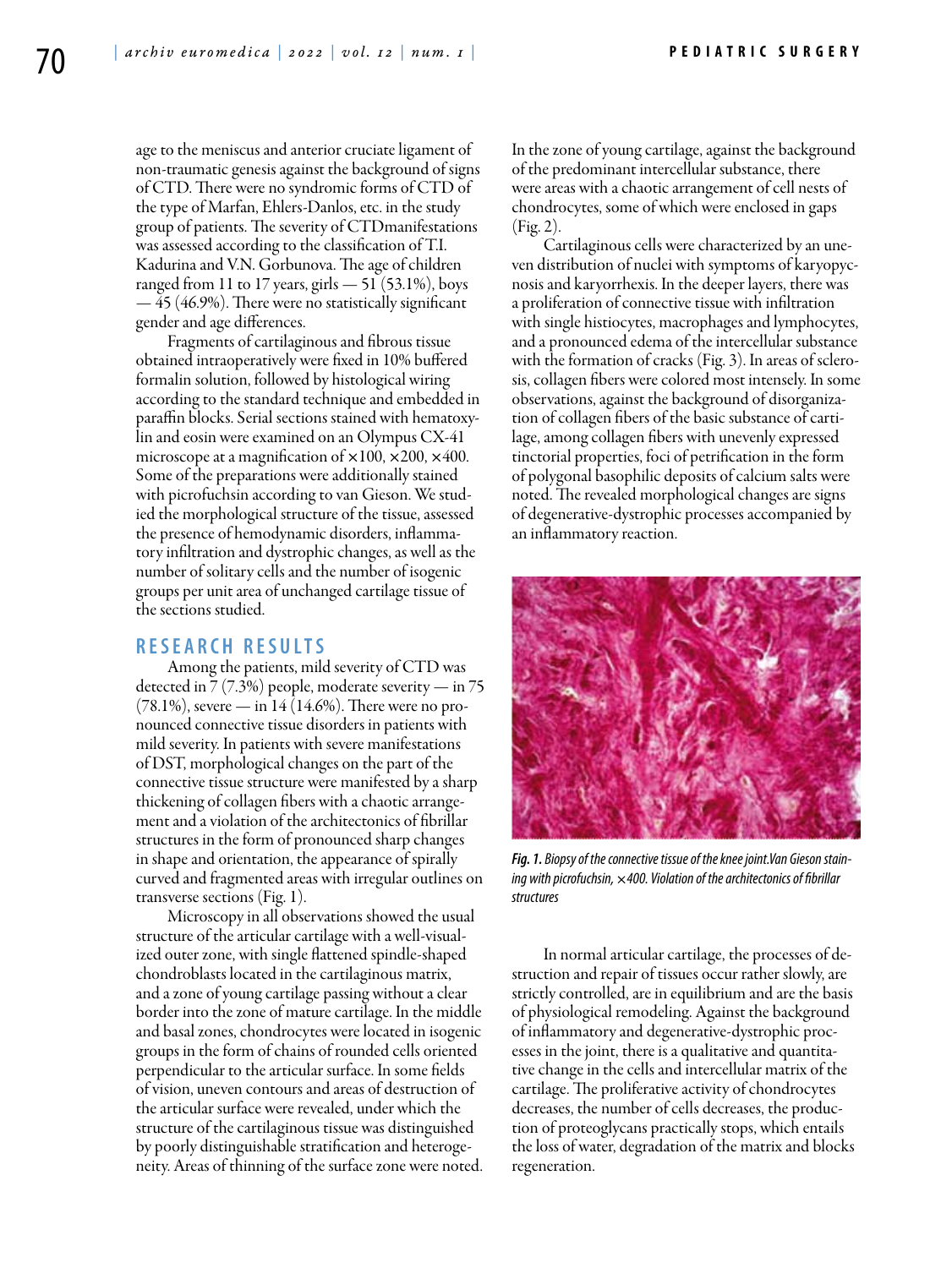age to the meniscus and anterior cruciate ligament of non-traumatic genesis against the background of signs of CTD. There were no syndromic forms of CTD of the type of Marfan, Ehlers-Danlos, etc. in the study group of patients. The severity of CTDmanifestations was assessed according to the classification of T.I. Kadurina and V.N. Gorbunova. The age of children ranged from 11 to 17 years, girls  $-51$  (53.1%), boys — 45 (46.9%). There were no statistically significant gender and age differences.

Fragments of cartilaginous and fibrous tissue obtained intraoperatively were fixed in 10% buffered formalin solution, followed by histological wiring according to the standard technique and embedded in paraffin blocks. Serial sections stained with hematoxylin and eosin were examined on an Olympus CX-41 microscope at a magnification of  $\times 100$ ,  $\times 200$ ,  $\times 400$ . Some of the preparations were additionally stained with picrofuchsin according to van Gieson. We studied the morphological structure of the tissue, assessed the presence of hemodynamic disorders, inflammatory infiltration and dystrophic changes, as well as the number of solitary cells and the number of isogenic groups per unit area of unchanged cartilage tissue of the sections studied.

# **R e s e a r c h R e s u l t s**

Among the patients, mild severity of CTD was detected in  $7(7.3%)$  people, moderate severity — in 75  $(78.1\%)$ , severe — in 14  $(14.6\%)$ . There were no pronounced connective tissue disorders in patients with mild severity. In patients with severe manifestations of DST, morphological changes on the part of the connective tissue structure were manifested by a sharp thickening of collagen fibers with a chaotic arrangement and a violation of the architectonics of fibrillar structures in the form of pronounced sharp changes in shape and orientation, the appearance of spirally curved and fragmented areas with irregular outlines on transverse sections (Fig. 1).

Microscopy in all observations showed the usual structure of the articular cartilage with a well-visualized outer zone, with single flattened spindle-shaped chondroblasts located in the cartilaginous matrix, and a zone of young cartilage passing without a clear border into the zone of mature cartilage. In the middle and basal zones, chondrocytes were located in isogenic groups in the form of chains of rounded cells oriented perpendicular to the articular surface. In some fields of vision, uneven contours and areas of destruction of the articular surface were revealed, under which the structure of the cartilaginous tissue was distinguished by poorly distinguishable stratification and heterogeneity. Areas of thinning of the surface zone were noted. In the zone of young cartilage, against the background of the predominant intercellular substance, there were areas with a chaotic arrangement of cell nests of chondrocytes, some of which were enclosed in gaps (Fig. 2).

Cartilaginous cells were characterized by an uneven distribution of nuclei with symptoms of karyopycnosis and karyorrhexis. In the deeper layers, there was a proliferation of connective tissue with infiltration with single histiocytes, macrophages and lymphocytes, and a pronounced edema of the intercellular substance with the formation of cracks (Fig. 3). In areas of sclerosis, collagen fibers were colored most intensely. In some observations, against the background of disorganization of collagen fibers of the basic substance of cartilage, among collagen fibers with unevenly expressed tinctorial properties, foci of petrification in the form of polygonal basophilic deposits of calcium salts were noted. The revealed morphological changes are signs of degenerative-dystrophic processes accompanied by an inflammatory reaction.



*Fig. 1. Biopsy of the connective tissue of the knee joint.Van Gieson staining with picrofuchsin,* ×*400. Violation of the architectonics of fibrillar structures*

In normal articular cartilage, the processes of destruction and repair of tissues occur rather slowly, are strictly controlled, are in equilibrium and are the basis of physiological remodeling. Against the background of inflammatory and degenerative-dystrophic processes in the joint, there is a qualitative and quantitative change in the cells and intercellular matrix of the cartilage. The proliferative activity of chondrocytes decreases, the number of cells decreases, the production of proteoglycans practically stops, which entails the loss of water, degradation of the matrix and blocks regeneration.